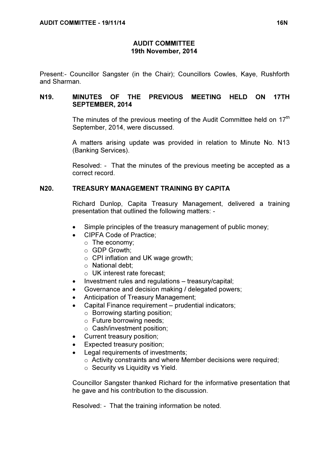# AUDIT COMMITTEE 19th November, 2014

Present:- Councillor Sangster (in the Chair); Councillors Cowles, Kaye, Rushforth and Sharman.

# N19. MINUTES OF THE PREVIOUS MEETING HELD ON 17TH SEPTEMBER, 2014

The minutes of the previous meeting of the Audit Committee held on  $17<sup>th</sup>$ September, 2014, were discussed.

A matters arising update was provided in relation to Minute No. N13 (Banking Services).

Resolved: - That the minutes of the previous meeting be accepted as a correct record.

# N20. TREASURY MANAGEMENT TRAINING BY CAPITA

 Richard Dunlop, Capita Treasury Management, delivered a training presentation that outlined the following matters: -

- Simple principles of the treasury management of public money;
- CIPFA Code of Practice;
	- o The economy;
	- o GDP Growth;
	- o CPI inflation and UK wage growth;
	- o National debt;
	- o UK interest rate forecast;
- Investment rules and regulations treasury/capital;
- Governance and decision making / delegated powers;
- Anticipation of Treasury Management;
- Capital Finance requirement prudential indicators;
	- o Borrowing starting position;
	- o Future borrowing needs;
	- o Cash/investment position;
- Current treasury position;
- Expected treasury position;
- Legal requirements of investments;
	- o Activity constraints and where Member decisions were required;
	- $\circ$  Security vs Liquidity vs Yield.

Councillor Sangster thanked Richard for the informative presentation that he gave and his contribution to the discussion.

Resolved: - That the training information be noted.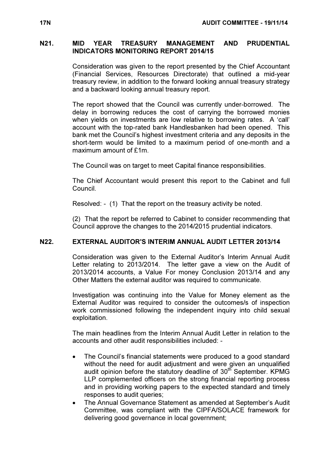### N21. MID YEAR TREASURY MANAGEMENT AND PRUDENTIAL INDICATORS MONITORING REPORT 2014/15

 Consideration was given to the report presented by the Chief Accountant (Financial Services, Resources Directorate) that outlined a mid-year treasury review, in addition to the forward looking annual treasury strategy and a backward looking annual treasury report.

The report showed that the Council was currently under-borrowed. The delay in borrowing reduces the cost of carrying the borrowed monies when yields on investments are low relative to borrowing rates. A 'call' account with the top-rated bank Handlesbanken had been opened. This bank met the Council's highest investment criteria and any deposits in the short-term would be limited to a maximum period of one-month and a maximum amount of £1m.

The Council was on target to meet Capital finance responsibilities.

The Chief Accountant would present this report to the Cabinet and full Council.

Resolved: - (1) That the report on the treasury activity be noted.

(2) That the report be referred to Cabinet to consider recommending that Council approve the changes to the 2014/2015 prudential indicators.

# N22. EXTERNAL AUDITOR'S INTERIM ANNUAL AUDIT LETTER 2013/14

 Consideration was given to the External Auditor's Interim Annual Audit Letter relating to 2013/2014. The letter gave a view on the Audit of 2013/2014 accounts, a Value For money Conclusion 2013/14 and any Other Matters the external auditor was required to communicate.

Investigation was continuing into the Value for Money element as the External Auditor was required to consider the outcomes/s of inspection work commissioned following the independent inquiry into child sexual exploitation.

The main headlines from the Interim Annual Audit Letter in relation to the accounts and other audit responsibilities included: -

- The Council's financial statements were produced to a good standard without the need for audit adjustment and were given an unqualified audit opinion before the statutory deadline of 30<sup>th</sup> September. KPMG LLP complemented officers on the strong financial reporting process and in providing working papers to the expected standard and timely responses to audit queries;
- The Annual Governance Statement as amended at September's Audit Committee, was compliant with the CIPFA/SOLACE framework for delivering good governance in local government;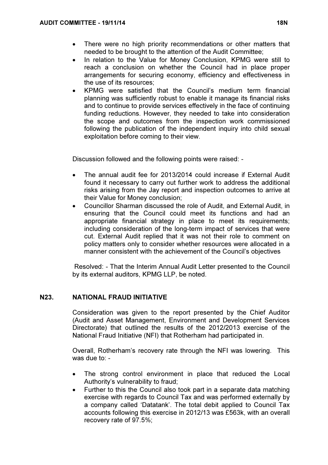- There were no high priority recommendations or other matters that needed to be brought to the attention of the Audit Committee;
- In relation to the Value for Money Conclusion, KPMG were still to reach a conclusion on whether the Council had in place proper arrangements for securing economy, efficiency and effectiveness in the use of its resources;
- KPMG were satisfied that the Council's medium term financial planning was sufficiently robust to enable it manage its financial risks and to continue to provide services effectively in the face of continuing funding reductions. However, they needed to take into consideration the scope and outcomes from the inspection work commissioned following the publication of the independent inquiry into child sexual exploitation before coming to their view.

Discussion followed and the following points were raised: -

- The annual audit fee for 2013/2014 could increase if External Audit found it necessary to carry out further work to address the additional risks arising from the Jay report and inspection outcomes to arrive at their Value for Money conclusion;
- Councillor Sharman discussed the role of Audit, and External Audit, in ensuring that the Council could meet its functions and had an appropriate financial strategy in place to meet its requirements; including consideration of the long-term impact of services that were cut. External Audit replied that it was not their role to comment on policy matters only to consider whether resources were allocated in a manner consistent with the achievement of the Council's objectives

 Resolved: - That the Interim Annual Audit Letter presented to the Council by its external auditors, KPMG LLP, be noted.

# N23. NATIONAL FRAUD INITIATIVE

 Consideration was given to the report presented by the Chief Auditor (Audit and Asset Management, Environment and Development Services Directorate) that outlined the results of the 2012/2013 exercise of the National Fraud Initiative (NFI) that Rotherham had participated in.

Overall, Rotherham's recovery rate through the NFI was lowering. This was due to: -

- The strong control environment in place that reduced the Local Authority's vulnerability to fraud;
- Further to this the Council also took part in a separate data matching exercise with regards to Council Tax and was performed externally by a company called 'Datatank'. The total debit applied to Council Tax accounts following this exercise in 2012/13 was £563k, with an overall recovery rate of 97.5%;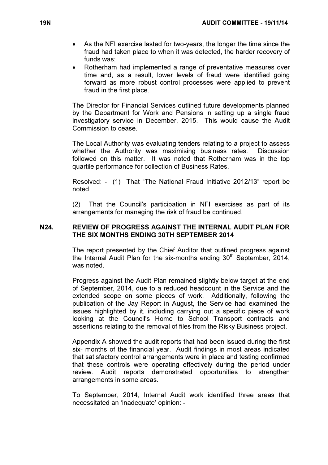- As the NFI exercise lasted for two-years, the longer the time since the fraud had taken place to when it was detected, the harder recovery of funds was;
- Rotherham had implemented a range of preventative measures over time and, as a result, lower levels of fraud were identified going forward as more robust control processes were applied to prevent fraud in the first place.

The Director for Financial Services outlined future developments planned by the Department for Work and Pensions in setting up a single fraud investigatory service in December, 2015. This would cause the Audit Commission to cease.

The Local Authority was evaluating tenders relating to a project to assess whether the Authority was maximising business rates. Discussion followed on this matter. It was noted that Rotherham was in the top quartile performance for collection of Business Rates.

Resolved: - (1) That "The National Fraud Initiative 2012/13" report be noted.

(2) That the Council's participation in NFI exercises as part of its arrangements for managing the risk of fraud be continued.

### N24. REVIEW OF PROGRESS AGAINST THE INTERNAL AUDIT PLAN FOR THE SIX MONTHS ENDING 30TH SEPTEMBER 2014

 The report presented by the Chief Auditor that outlined progress against the Internal Audit Plan for the six-months ending  $30<sup>th</sup>$  September, 2014, was noted.

Progress against the Audit Plan remained slightly below target at the end of September, 2014, due to a reduced headcount in the Service and the extended scope on some pieces of work. Additionally, following the publication of the Jay Report in August, the Service had examined the issues highlighted by it, including carrying out a specific piece of work looking at the Council's Home to School Transport contracts and assertions relating to the removal of files from the Risky Business project.

Appendix A showed the audit reports that had been issued during the first six- months of the financial year. Audit findings in most areas indicated that satisfactory control arrangements were in place and testing confirmed that these controls were operating effectively during the period under review. Audit reports demonstrated opportunities to strengthen arrangements in some areas.

To September, 2014, Internal Audit work identified three areas that necessitated an 'inadequate' opinion: -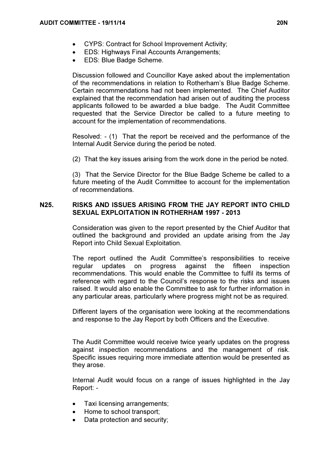- CYPS: Contract for School Improvement Activity;
- EDS: Highways Final Accounts Arrangements;
- EDS: Blue Badge Scheme.

Discussion followed and Councillor Kaye asked about the implementation of the recommendations in relation to Rotherham's Blue Badge Scheme. Certain recommendations had not been implemented. The Chief Auditor explained that the recommendation had arisen out of auditing the process applicants followed to be awarded a blue badge. The Audit Committee requested that the Service Director be called to a future meeting to account for the implementation of recommendations.

Resolved: - (1) That the report be received and the performance of the Internal Audit Service during the period be noted.

(2) That the key issues arising from the work done in the period be noted.

(3) That the Service Director for the Blue Badge Scheme be called to a future meeting of the Audit Committee to account for the implementation of recommendations.

# N25. RISKS AND ISSUES ARISING FROM THE JAY REPORT INTO CHILD SEXUAL EXPLOITATION IN ROTHERHAM 1997 - 2013

 Consideration was given to the report presented by the Chief Auditor that outlined the background and provided an update arising from the Jay Report into Child Sexual Exploitation.

The report outlined the Audit Committee's responsibilities to receive regular updates on progress against the fifteen inspection recommendations. This would enable the Committee to fulfil its terms of reference with regard to the Council's response to the risks and issues raised. It would also enable the Committee to ask for further information in any particular areas, particularly where progress might not be as required.

Different layers of the organisation were looking at the recommendations and response to the Jay Report by both Officers and the Executive.

The Audit Committee would receive twice yearly updates on the progress against inspection recommendations and the management of risk. Specific issues requiring more immediate attention would be presented as they arose.

Internal Audit would focus on a range of issues highlighted in the Jay Report: -

- Taxi licensing arrangements;
- Home to school transport;
- Data protection and security;